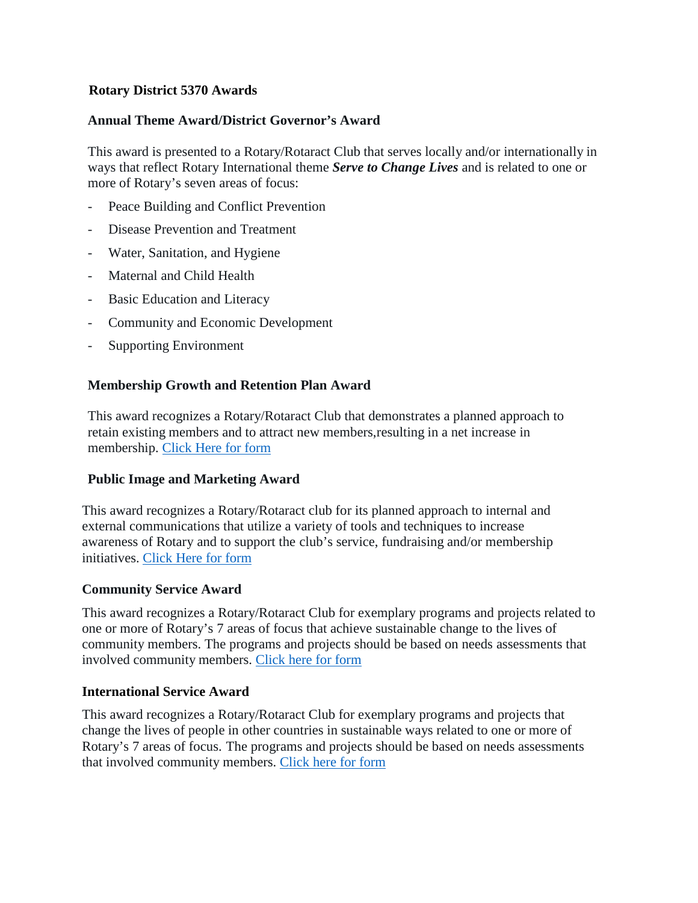# **Rotary District 5370 Awards**

### **Annual Theme Award/District Governor's Award**

This award is presented to a Rotary/Rotaract Club that serves locally and/or internationally in ways that reflect Rotary International theme *Serve to Change Lives* and is related to one or more of Rotary's seven areas of focus:

- Peace Building and Conflict Prevention
- Disease Prevention and Treatment
- Water, Sanitation, and Hygiene
- Maternal and Child Health
- Basic Education and Literacy
- Community and Economic Development
- Supporting Environment

## **Membership Growth and Retention Plan Award**

This award recognizes a Rotary/Rotaract Club that demonstrates a planned approach to retain existing members and to attract new members,resulting in a net increase in membership. [Click Here for form](https://clubrunner.blob.core.windows.net/00000050012/en-ca/files/sitepage/downloads/2-awards-nomination-form-2022/2-Awards-Nomination-Form-Rotary-District-5370--fillable-.pdf)

### **Public Image and Marketing Award**

This award recognizes a Rotary/Rotaract club for its planned approach to internal and external communications that utilize a variety of tools and techniques to increase awareness of Rotary and to support the club's service, fundraising and/or membership initiatives. [Click Here for form](https://clubrunner.blob.core.windows.net/00000050012/en-ca/files/sitepage/downloads/2-awards-nomination-form-2022/2-Awards-Nomination-Form-Rotary-District-5370--fillable-.pdf)

### **Community Service Award**

This award recognizes a Rotary/Rotaract Club for exemplary programs and projects related to one or more of Rotary's 7 areas of focus that achieve sustainable change to the lives of community members. The programs and projects should be based on needs assessments that involved community members. [Click here for form](https://clubrunner.blob.core.windows.net/00000050012/en-ca/files/sitepage/downloads/1-awards-nomination-form-2022/Awards-Nomination-Form-Rotary-District-5370-revised-fillable-.pdf)

#### **International Service Award**

This award recognizes a Rotary/Rotaract Club for exemplary programs and projects that change the lives of people in other countries in sustainable ways related to one or more of Rotary's 7 areas of focus. The programs and projects should be based on needs assessments that involved community members. [Click here for form](https://clubrunner.blob.core.windows.net/00000050012/en-ca/files/sitepage/downloads/1-awards-nomination-form-2022/Awards-Nomination-Form-Rotary-District-5370-revised-fillable-.pdf)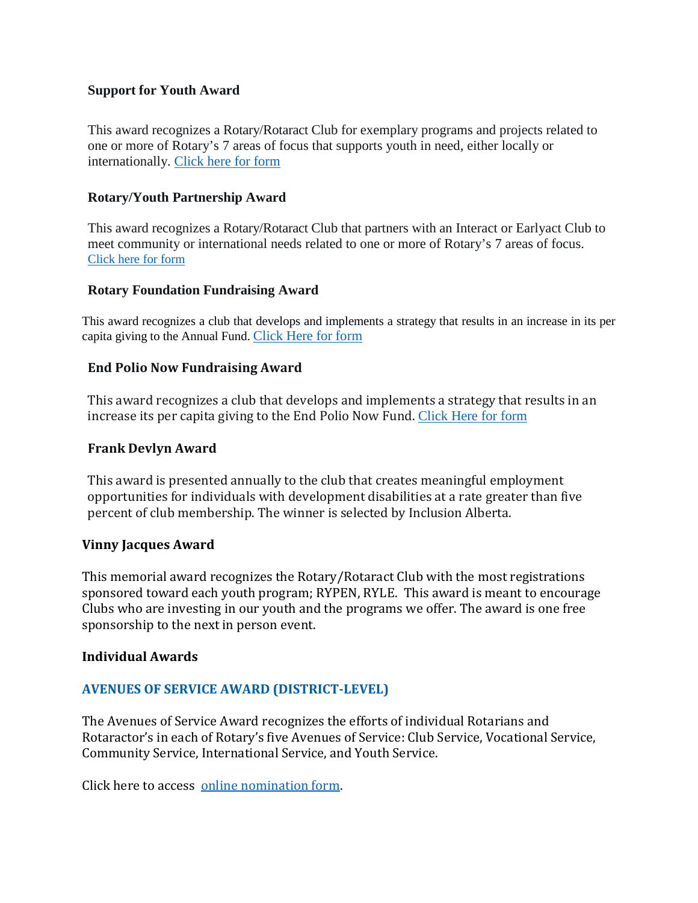## **Support for Youth Award**

This award recognizes a Rotary/Rotaract Club for exemplary programs and projects related to one or more of Rotary's 7 areas of focus that supports youth in need, either locally or internationally. [Click here for form](https://clubrunner.blob.core.windows.net/00000050012/en-ca/files/sitepage/downloads/1-awards-nomination-form-2022/Awards-Nomination-Form-Rotary-District-5370-revised-fillable-.pdf)

## **Rotary/Youth Partnership Award**

This award recognizes a Rotary/Rotaract Club that partners with an Interact or Earlyact Club to meet community or international needs related to one or more of Rotary's 7 areas of focus. [Click here for form](https://clubrunner.blob.core.windows.net/00000050012/en-ca/files/sitepage/downloads/1-awards-nomination-form-2022/Awards-Nomination-Form-Rotary-District-5370-revised-fillable-.pdf)

### **Rotary Foundation Fundraising Award**

This award recognizes a club that develops and implements a strategy that results in an increase in its per capita giving to the Annual Fund. [Click Here for form](https://clubrunner.blob.core.windows.net/00000050012/en-ca/files/sitepage/downloads/2-awards-nomination-form-2022/2-Awards-Nomination-Form-Rotary-District-5370--fillable-.pdf)

## **End Polio Now Fundraising Award**

This award recognizes a club that develops and implements a strategy that results in an increase its per capita giving to the End Polio Now Fund. [Click Here for form](https://clubrunner.blob.core.windows.net/00000050012/en-ca/files/sitepage/downloads/2-awards-nomination-form-2022/2-Awards-Nomination-Form-Rotary-District-5370--fillable-.pdf)

## **Frank Devlyn Award**

This award is presented annually to the club that creates meaningful employment opportunities for individuals with development disabilities at a rate greater than five percent of club membership. The winner is selected by Inclusion Alberta.

### **Vinny Jacques Award**

This memorial award recognizes the Rotary/Rotaract Club with the most registrations sponsored toward each youth program; RYPEN, RYLE. This award is meant to encourage Clubs who are investing in our youth and the programs we offer. The award is one free sponsorship to the next in person event.

### **Individual Awards**

# **AVENUES OF SERVICE AWARD (DISTRICT-LEVEL)**

The Avenues of Service Award recognizes the efforts of individual Rotarians and Rotaractor's in each of Rotary's five Avenues of Service: Club Service, Vocational Service, Community Service, International Service, and Youth Service.

Click here to access [online nomination form.](https://rotary.qualtrics.com/jfe/form/SV_4V0rQ6ijj6qu9pj)